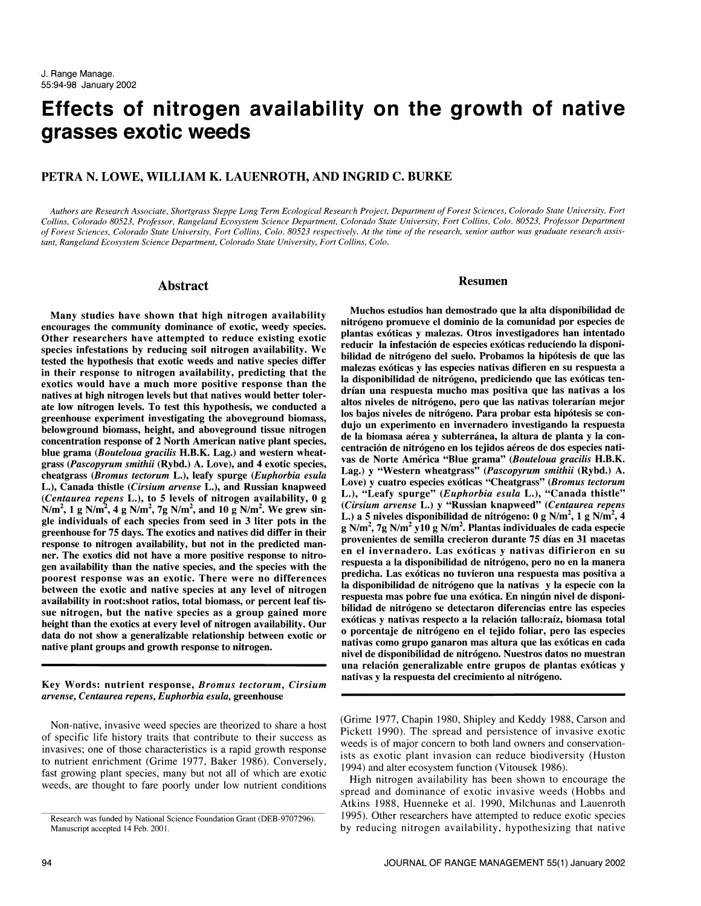# Effects of nitrogen availability on the growth of native grasses exotic weeds

# PETRA N. LOWE, WILLIAM K. LAUENROTH, AND INGRID C. BURKE

Authors are Research Associate, Shortgrass Steppe Long Term Ecological Research Project, Department of Forest Sciences, Colorado State University, Fort Collins, Colorado 80523, Professor, Rangeland Ecosystem Science Department, Colorado State University, Fort Collins, Colo. 80523, Professor Department of Forest Sciences, Colorado State University, Fort Collins, Colo. 80523 respectively. At the time of the research, senior author was graduate research assistant, Rangeland Ecosystem Science Department, Colorado State University, Fort Collins, Colo.

#### Abstract

Many studies have shown that high nitrogen availability encourages the community dominance of exotic, weedy species. Other researchers have attempted to reduce existing exotic species infestations by reducing soil nitrogen availability. We tested the hypothesis that exotic weeds and native species differ<br>in their prepared to pitnogen availability, predicting that the malezas exóticas y las especies nativas difieren en su respuesta a in their response to nitrogen availability, predicting that the exotics would have a much more positive response than the natives at high nitrogen levels but that natives would better tolerate low nitrogen levels. To test this hypothesis, we conducted a greenhouse experiment investigating the aboveground biomass, belowground biomass, height, and aboveground tissue nitrogen<br>experiment of the intervention proposed at a biomass are a subterfanea, la altura de planta y la con-<br>experiment of the labiomass are a y subterfanea, la altura concentration response of 2 North American native plant species, blue grama (Bouteloua gracilis H.B.K. Lag.) and western wheatgrass (Pascopyrum smithii (Rybd.) A. Love), and 4 exotic species, cheatgrass (Bromus tectorum L.), leafy spurge (Euphorbia esula L.), Canada thistle (Cirsium arvense L.), and Russian knapweed (Centaurea repens L.), to 5 levels of nitrogen availability,  $0$  g N/m<sup>2</sup>, 1 g N/m<sup>2</sup>, 4 g N/m<sup>2</sup>, 7g N/m<sup>2</sup>, and 10 g N/m<sup>2</sup>. We grew single individuals of each species from seed in 3 liter pots in the greenhouse for 75 days. The exotics and natives did differ in their<br>response to nitrogen availability, but not in the predicted man-<br>provenientes de semilla crecieron durante 75 días en 31 macetas ner. The exotics did not have a more positive response to nitrogen availability than the native species, and the species with the poorest response was an exotic. There were no differences predictional last exoticas no tuvieron una respuesta mas positiva a<br>hetween the exotic and native species at any lovel of nitrogen is a disponibilidad de nitrógeno between the exotic and native species at any level of nitrogen availability in root:shoot ratios, total biomass, or percent leaf tis sue nitrogen, but the native species as a group gained more<br>height then the exercise of exercise of pitrogen exergencies in exoticas y nativas respecto a la relación tallo:raíz, biomasa total height than the exotics at every level of nitrogen availability. Our data do not show a generalizable relationship between exotic or native plant groups and growth response to nitrogen.

Key Words: nutrient response, Bromus tectorum, Cirsium arvense, Centaurea repens, Euphorbia esula, greenhouse

Non-native, invasive weed species are theorized to share a host of specific life history traits that contribute to their success as invasives; one of those characteristics is a rapid growth response to nutrient enrichment (Grime 1977, Baker 1986). Conversely, fast growing plant species, many but not all of which are exotic weeds, are thought to fare poorly under low nutrient conditions

#### Resumen

Muchos estudios han demostrado que la alta disponibilidad de nitrógeno promueve el dominio de la comunidad por especies de plantas exoticas y malezas. Otros investigadores han intentado reducir la infestación de especies exóticas reduciendo la disponibilidad de nitrogeno del suelo. Probamos la hipotesis de que las la disponibilidad de nitrógeno, prediciendo que las exóticas tendrian una respuesta mucho mas positiva que las nativas a los altos niveles de nitrógeno, pero que las nativas tolerarían mejor los bajos niveles de nitrógeno. Para probar esta hipótesis se condujo un experimento en invernadero investigando la respuesta centración de nitrógeno en los tejidos aéreos de dos especies nativas de Norte América "Blue grama" (Bouteloua gracilis H.B.K. Lag.) y "Western wheatgrass" (Pascopyrum smithii (Rybd.) A. Love) y cuatro especies exóticas "Cheatgrass" (Bromus tectorum L.), "Leafy spurge" (Euphorbia esula L.), "Canada thistle" (Cirsium arvense L.) y "Russian knapweed" (Centaurea repens L.) a 5 niveles disponibilidad de nitrógeno: 0 g N/m<sup>2</sup>, 1 g N/m<sup>2</sup>, 4 g N/m<sup>2</sup>, 7g N/m<sup>2</sup> y10 g N/m<sup>2</sup>. Plantas individuales de cada especie en el invernadero. Las exóticas y nativas difirieron en su<br>respuesta a la disponibilidad de nitrógeno, pero no en la manera predicha. Las exóticas no tuvieron una respuesta mas positiva a respuesta mas pobre fue una exótica. En ningún nivel de disponibilidad de nitrógeno se detectaron diferencias entre las especies o porcentaje de nitrógeno en el tejido foliar, pero las especies nativas como grupo ganaron mas altura que las exóticas en cada nivel de disponibilidad de nitrogeno. Nuestros datos no muestran una relacion generalizable entre grupos de plantas exoticas y nativas y la respuesta del crecimiento al nitrógeno.

(Grime 1977, Chapin 1980, Shipley and Keddy 1988, Carson and Pickett 1990). The spread and persistence of invasive exotic weeds is of major concern to both land owners and conservationists as exotic plant invasion can reduce biodiversity (Huston 1994) and alter ecosystem function (Vitousek 1986).

High nitrogen availability has been shown to encourage the spread and dominance of exotic invasive weeds (Hobbs and Atkins 1988, Huenneke et al. 1990, Milchunas and Lauenroth 1995). Other researchers have attempted to reduce exotic species by reducing nitrogen availability, hypothesizing that native

Research was funded by National Science Foundation Grant (DEB-9707296). Manuscript accepted 14 Feb. 2001.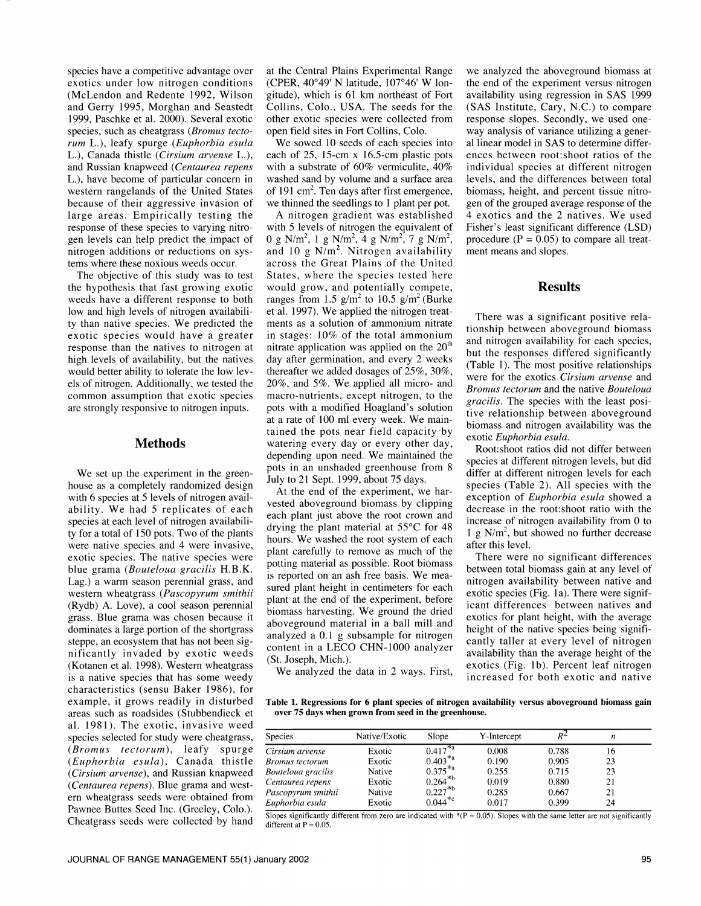species have a competitive advantage over exotics under low nitrogen conditions (McLendon and Redente 1992, Wilson and Gerry 1995, Morghan and Seastedt 1999, Paschke et al. 2000). Several exotic species, such as cheatgrass (*Bromus tecto*rum L.), leafy spurge (Euphorbia esula L.), Canada thistle (Cirsium arvense L.), and Russian knapweed (Centaurea repens L.), have become of particular concern in washed sand by volume and a surface area western rangelands of the United States of 191 cm<sup>2</sup>. Ten days after first emergence, western rangelands of the United States because of their aggressive invasion of large areas. Empirically testing the response of these species to varying nitrogen levels can help predict the impact of nitrogen additions or reductions on sys-<br>tems where these noxious weeds occur.

The objective of this study was to test. the hypothesis that fast growing exotic weeds have a different response to both low and high levels of nitrogen availability than native species. We predicted the exotic species would have a greater response than the natives to nitrogen at high levels of availability, but the natives would better ability to tolerate the low levels of nitrogen. Additionally, we tested the common assumption that exotic species are strongly responsive to nitrogen inputs.

### Methods

We set up the experiment in the greenhouse as a completely randomized design with 6 species at 5 levels of nitrogen availability. We had 5 replicates of each species at each level of nitrogen availabili-<br>ty for a total of 150 pots. Two of the plants were native species and 4 were invasive, exotic species. The native species were blue grama (*Bouteloua gracilis*  $H.B.K.$  pound material as possible. Noot biomass Lag.) a warm season perennial grass, and western wheatgrass (Pascopyrum smithii (Rydb) A. Love), a cool season perennial grass. Blue grama was chosen because it dominates a large portion of the shortgrass steppe, an ecosystem that has not been significantly invaded by exotic weeds (Kotanen et al. 1998). Western wheatgrass is a native species that has some weedy characteristics (sensu Baker 1986), for example, it grows readily in disturbed al. 1981). The exotic, invasive weed species selected for study were cheatgrass,  $(Bromus \t=ectorum)$ , leafy spurge  $\overline{Cirsi}$ (Euphorbia esula), Canada thistle Bron (Cirsium arvense), and Russian knapweed (Centaurea repens). Blue grama and west-<br>ern wheatgrass seeds were obtained from Pawnee Buttes Seed Inc. (Greeley, Colo.). Cheatgrass seeds were collected by hand

at the Central Plains Experimental Range (CPER,  $40^{\circ}49'$  N latitude,  $107^{\circ}46'$  W longitude), which is 61 km northeast of Fort Collins, Colo., USA. The seeds for the (SAS Institute, Cary, N.C.) to compare other exotic species were collected from response slopes. Secondly, we used oneother exotic species were collected from open field sites in Fort Collins, Colo.

We sowed 10 seeds of each species into each of 25, 15-cm x 16.5-cm plastic pots with a substrate of 60% vermiculite, 40% washed sand by volume and a surface area we thinned the seedlings to 1 plant per pot.

A nitrogen gradient was established with 5 levels of nitrogen the equivalent of 0 g N/m<sup>2</sup>, 1 g N/m<sup>2</sup>, 4 g N/m<sup>2</sup>, 7 g N/m<sup>2</sup>, and 10 g  $N/m^2$ . Nitrogen availability across the Great Plains of the United States, where the species tested here would grow, and potentially compete, ranges from 1.5  $g/m^2$  to 10.5  $g/m^2$  (Burke et al. 1997). We applied the nitrogen treatments as a solution of ammonium nitrate in stages: 10% of the total ammonium nitrate application was applied on the  $20<sup>th</sup>$ day after germination, and every 2 weeks<br>therefore we added decays of  $2.5\%$  and  $2.0\%$  (Table 1). The most positive relationships thereafter we added dosages of 25%, 30%, 20%, and 5%. We applied all micro- and macro-nutrients, except nitrogen, to the pots with a modified Hoagland's solution at a rate of 100 ml every week. We maintained the pots near field capacity by watering every day or every other day, depending upon need. We maintained the pots in an unshaded greenhouse from 8 July to 21 Sept. 1999, about 75 days.

At the end of the experiment, we harvested aboveground biomass by clipping each plant just above the root crown and drying the plant material at 55°C for 48 hours. We washed the root system of each plant carefully to remove as much of the potting material as possible. Root biomass sured plant height in centimeters for each plant at the end of the experiment, before biomass harvesting. We ground the dried aboveground material in a ball mill and analyzed a 0.1 g subsample for nitrogen content in a LECO CHN-1000 analyzer (St. Joseph, Mich.).

we analyzed the aboveground biomass at the end of the experiment versus nitrogen availability using regression in SAS 1999 (SAS Institute, Cary, N.C.) to compare way analysis of variance utilizing a general linear model in SAS to determine differences between root:shoot ratios of the individual species at different nitrogen levels, and the differences between total biomass, height, and percent tissue nitrogen of the grouped average response of the 4 exotics and the 2 natives. We used Fisher's least significant difference (LSD) procedure  $(P = 0.05)$  to compare all treatment means and slopes.

#### Results

There was a significant positive relationship between aboveground biomass and nitrogen availability for each species, but the responses differed significantly were for the exotics Cirsium arvense and Bromus tectorum and the native Bouteloua gracilis. The species with the least positive relationship between aboveground biomass and nitrogen availability was the exotic Euphorbia esula.

Root:shoot ratios did not differ between species at different nitrogen levels, but did differ at different nitrogen levels for each species (Table 2). All species with the exception of Euphorbia esula showed a decrease in the root:shoot ratio with the increase of nitrogen availability from 0 to 1 g N/m<sup>2</sup>, but showed no further decrease after this level.

There were no significant differences between total biomass gain at any level of nitrogen availability between native and exotic species (Fig. la). There were significant differences between natives and exotics for plant height, with the average height of the native species being significantly taller at every level of nitrogen availability than the average height of the exotics (Fig. lb). Percent leaf nitrogen increased for both exotic and native

We analyzed the data in 2 ways. First,

areas such as roadsides (Stubbendieck et Table 1. Regressions for 6 plant species of nitrogen availability versus aboveground biomass gain

| Species                | Native/Exotic | Slope                 | Y-Intercept | R∸    | n  |  |
|------------------------|---------------|-----------------------|-------------|-------|----|--|
| Cirsium arvense        | Exotic        | $0.417^{*a}$          | 0.008       | 0.788 | 16 |  |
| <b>Bromus</b> tectorum | Exotic        | $0.403^{*a}$          | 0.190       | 0.905 | 23 |  |
| Bouteloua gracilis     | Native        | $0.375^{*a}$          | 0.255       | 0.715 | 23 |  |
| Centaurea repens       | Exotic        | $0.264^{*b}$          | 0.019       | 0.880 | 21 |  |
| Pascopyrum smithii     | Native        | $0.227*{^{b}}$        | 0.285       | 0.667 | 21 |  |
| Euphorbia esula        | Exotic        | $0.044$ <sup>*c</sup> | 0.017       | 0.399 | 24 |  |

Slopes significantly different from zero are indicated with  $P = 0.05$ . Slopes with the same letter are not significantly different at  $P = 0.05$ .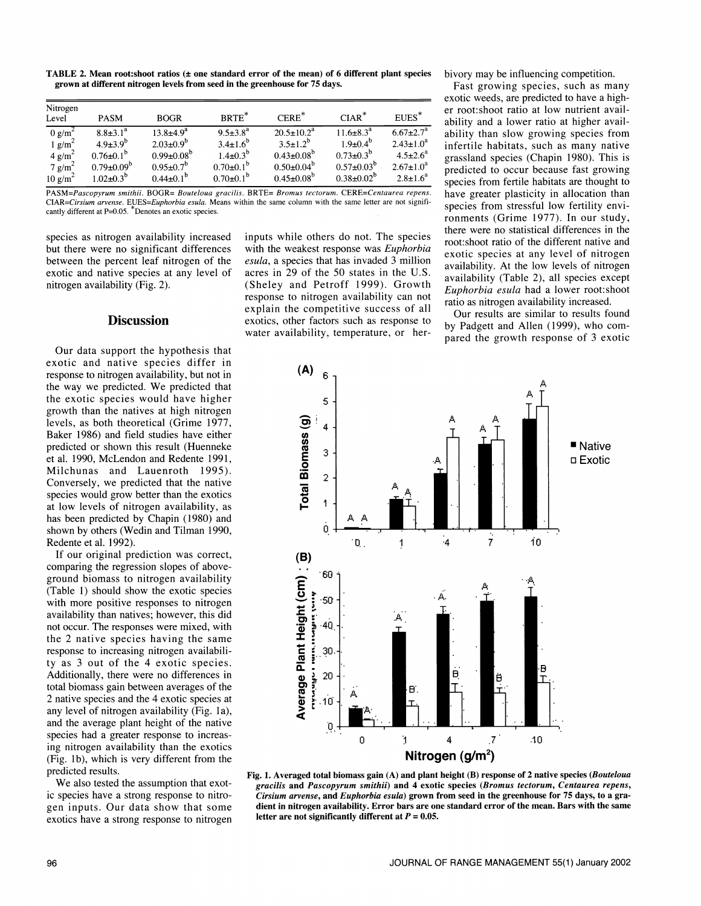TABLE 2. Mean root: shoot ratios  $(±$  one standard error of the mean) of 6 different plant species grown at different nitrogen levels from seed in the greenhouse for 75 days.

| Nitrogen<br>Level                            | <b>PASM</b>                                 | <b>BOGR</b>                           | BRTE <sup>*</sup>                      | $CERE^*$                           | $CIAR^*$                            | EUES <sup>*</sup>                   |
|----------------------------------------------|---------------------------------------------|---------------------------------------|----------------------------------------|------------------------------------|-------------------------------------|-------------------------------------|
| $0 g/m^2$                                    | $8.8 \pm 3.1^a$                             | $13.8{\pm}4.9^{a}$                    | $9.5 \pm 3.8^a$                        | $20.5 \pm 10.2^a$                  | $11.6 \pm 8.3^{\circ}$              | $6.67 \pm 2.7^a$                    |
| $1$ g/m <sup>2</sup><br>$4$ g/m <sup>2</sup> | $4.9{\pm}3.9^{b}$<br>$0.76 \pm 0.1^{\circ}$ | $2.03 \pm 0.9^b$<br>$0.99 \pm 0.08^b$ | $3.4 \pm 1.6^{b}$<br>$1.4 \pm 0.3^{b}$ | $3.5 + 1.2^b$<br>$0.43 \pm 0.08^b$ | $1.9 + 0.4^b$<br>$0.73 \pm 0.3^{b}$ | $2.43 \pm 1.0^a$<br>$4.5 \pm 2.6^a$ |
| $7 \text{ g/m}^2$                            | $0.79 \pm 0.09^b$                           | $0.95 \pm 0.7^b$                      | $0.70 \pm 0.1^b$                       | $0.50 \pm 0.04^{\circ}$            | $0.57 \pm 0.03^b$                   | $2.67 \pm 1.0^a$                    |
| $10 \text{ g/m}^2$                           | $1.02 \pm 0.3^{b}$                          | $0.44 \pm 0.1^b$                      | $0.70 \pm 0.1^b$                       | $0.45 \pm 0.08^b$                  | $0.38 \pm 0.02^b$                   | $2.8 \pm 1.6^a$                     |

PASM=Pascopyrum smithii. BOGR= Bouteloua gracilis. BRTE= Bromus tectorum. CERE=Centaurea repens. CIAR=Cirsium arvense. EUES=Euphorbia esula. Means within the same column with the same letter are not significantly different at P=0.05. Denotes an exotic species.

species as nitrogen availability increased but there were no significant differences between the percent leaf nitrogen of the exotic and native species at any level of nitrogen availability (Fig. 2).

# **Discussion**

Our data support the hypothesis that exotic and native species differ in response to nitrogen availability, but not in the way we predicted. We predicted that the exotic species would have higher growth than the natives at high nitrogen levels, as both theoretical (Grime 1977, Baker 1986) and field studies have either predicted or shown this result (Huenneke et al. 1990, McLendon and Redente 1991, Milchunas and Lauenroth 1995). Conversely, we predicted that the native species would grow better than the exotics at low levels of nitrogen availability, as has been predicted by Chapin (1980) and shown by others (Wedin and Tilman 1990, Redente et al. 1992).

If our original prediction was correct, comparing the regression slopes of aboveground biomass to nitrogen availability (Table 1) should show the exotic species with more positive responses to nitrogen availability than natives; however, this did not occur. The responses were mixed, with the 2 native species having the same response to increasing nitrogen availability as 3 out of the 4 exotic species. Additionally, there were no differences in total biomass gain between averages of the 2 native species and the 4 exotic species at any level of nitrogen availability (Fig. la), and the average plant height of the native species had a greater response to increasing nitrogen availability than the exotics (Fig. 1b), which is very different from the predicted results.

We also tested the assumption that exotic species have a strong response to nitrogen inputs. Our data show that some exotics have a strong response to nitrogen

inputs while others do not. The species with the weakest response was Euphorbia esula, a species that has invaded 3 million acres in 29 of the 50 states in the U.S. (Sheley and Petroff 1999). Growth response to nitrogen availability can not explain the competitive success of all exotics, other factors such as response to water availability, temperature, or herbivory may be influencing competition.

Fast growing species, such as many exotic weeds, are predicted to have a high er root:shoot ratio at low nutrient availability and a lower ratio at higher availability than slow growing species from infertile habitats, such as many native grassland species (Chapin 1980). This is predicted to occur because fast growing species from fertile habitats are thought to have greater plasticity in allocation than species from stressful low fertility environments (Grime 1977). In our study, there were no statistical differences in the root: shoot ratio of the different native and exotic species at any level of nitrogen availability. At the low levels of nitrogen availability (Table 2), all species except Euphorbia esula had a lower root:shoot ratio as nitrogen availability increased.

Our results are similar to results found by Padgett and Allen (1999), who com pared the growth response of 3 exotic



Fig. 1. Averaged total biomass gain (A) and plant height (B) response of 2 native species (Bouteloua gracilis and Pascopyrum smithii) and 4 exotic species (Bromus tectorum, Centaurea repens, Cirsium arvense, and Euphorbia esula) grown from seed in the greenhouse for 75 days, to a gradient in nitrogen availability. Error bars are one standard error of the mean. Bars with the same letter are not significantly different at  $P = 0.05$ .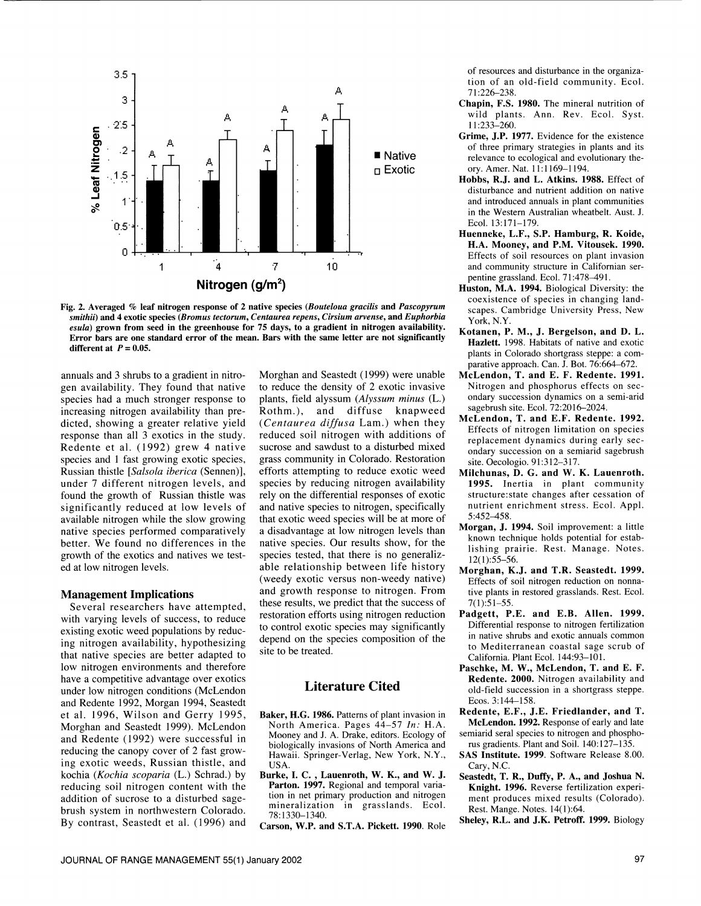

Fig. 2. Averaged % leaf nitrogen response of 2 native species (Bouteloua gracilis and Pascopyrum smithii) and 4 exotic species (Bromus tectorum, Centaurea repens, Cirsium arvense, and Euphorbia esula) grown from seed in the greenhouse for 75 days, to a gradient in nitrogen availability. Error bars are one standard error of the mean. Bars with the same letter are not significantly different at  $P = 0.05$ .

annuals and 3 shrubs to a gradient in nitrogen availability. They found that native species had a much stronger response to increasing nitrogen availability than predicted, showing a greater relative yield response than all 3 exotics in the study. Redente et al. (1992) grew 4 native species and 1 fast growing exotic species, Russian thistle [Salsola iberica (Sennen)], under 7 different nitrogen levels, and found the growth of Russian thistle was significantly reduced at low levels of available nitrogen while the slow growing native species performed comparatively better. We found no differences in the growth of the exotics and natives we tested at low nitrogen levels.

#### Management Implications

Several researchers have attempted, with varying levels of success, to reduce existing exotic weed populations by reducing nitrogen availability, hypothesizing that native species are better adapted to low nitrogen environments and therefore have a competitive advantage over exotics under low nitrogen conditions (McLendon and Redente 1992, Morgan 1994, Seastedt et al. 1996, Wilson and Gerry 1995, Morghan and Seastedt 1999). McLendon and Redente (1992) were successful in reducing the canopy cover of 2 fast growing exotic weeds, Russian thistle, and kochia (Kochia scoparia (L.) Schrad.) by reducing soil nitrogen content with the addition of sucrose to a disturbed sagebrush system in northwestern Colorado. By contrast, Seastedt et al. (1996) and

Morghan and Seastedt (1999) were unable to reduce the density of 2 exotic invasive plants, field alyssum (Alyssum minus (L.) Rothm.), and diffuse knapweed (Centaurea diffusa Lam.) when they reduced soil nitrogen with additions of sucrose and sawdust to a disturbed mixed grass community in Colorado. Restoration efforts attempting to reduce exotic weed species by reducing nitrogen availability rely on the differential responses of exotic and native species to nitrogen, specifically that exotic weed species will be at more of a disadvantage at low nitrogen levels than native species. Our results show, for the species tested, that there is no generalizable relationship between life history (weedy exotic versus non-weedy native) Effects of soil nitrogen reduction on nonnaand growth response to nitrogen. From these results, we predict that the success of restoration efforts using nitrogen reduction to control exotic species may significantly depend on the species composition of the site to be treated.

# Literature Cited

- Baker, H.G. 1986. Patterns of plant invasion in North America. Pages 44-57 In: H.A. Mooney and J. A. Drake, editors. Ecology of semiarid seral species to nitrogen and phosph<br>biologically invasions of North America and rus gradients. Plant and Soil. 140:127–135. biologically invasions of North America and Hawaii. Springer-Verlag, New York, N.Y., USA.
- Burke, I. C. , Lauenroth, W. K., and W. J. Parton. 1997. Regional and temporal variation in net primary production and nitrogen mineralization in grasslands. Ecol. 78:1330-1340.

Carson, W.P. and S.T.A. Pickett.1990. Role

of resources and disturbance in the organization of an old-field community. Ecol. 71:226-238.

- Chapin, F.S. 1980. The mineral nutrition of wild plants. Ann. Rev. Ecol. Syst. 11:233-260.
- Grime, J.P. 1977. Evidence for the existence of three primary strategies in plants and its relevance to ecological and evolutionary theory. Amer. Nat. 11:1169-1194.
- Hobbs, R.J. and L. Atkins. 1988. Effect of disturbance and nutrient addition on native and introduced annuals in plant communities in the Western Australian wheatbelt. Aust. J. Ecol.13:171-179.
- Huenneke, L.F., S.P. Hamburg, R. Koide, H.A. Mooney, and P.M. Vitousek. 1990. Effects of soil resources on plant invasion and community structure in Californian ser pentine grassland. Ecol. 71:478-491.
- Huston, M.A. 1994. Biological Diversity: the coexistence of species in changing landscapes. Cambridge University Press, New York, N.Y.
- Kotanen, P. M., J. Bergelson, and D. L. Hazlett. 1998. Habitats of native and exotic plants in Colorado shortgrass steppe: a comparative approach. Can. J. Bot. 76:664-672.
- McLendon, T. and E. F. Redente. 1991. Nitrogen and phosphorus effects on sec ondary succession dynamics on a semi-arid sagebrush site. Ecol. 72:2016-2024.
- McLendon, T. and E.F. Redente. 1992. Effects of nitrogen limitation on species replacement dynamics during early sec ondary succession on a semiarid sagebrush site. Oecologio. 91:312-317.
- Milchunas, D. G. and W. K. Lauenroth. 1995. Inertia in plant community structure:state changes after cessation of nutrient enrichment stress. Ecol. Appl. 5:452-458.
- Morgan, J. 1994. Soil improvement: a little known technique holds potential for establishing prairie. Rest. Manage. Notes. 12(1):55-56.
- Morghan, K.J. and T.R. Seastedt. 1999. tive plants in restored grasslands. Rest. Ecol. 7(1):51-55.
- Padgett, P.E. and E.B. Allen. 1999. Differential response to nitrogen fertilization in native shrubs and exotic annuals common to Mediterranean coastal sage scrub of California. Plant Ecol. 144:93-101.
- Paschke, M. W., McLendon, T. and E. F. Redente. 2000. Nitrogen availability and old-field succession in a shortgrass steppe. Ecos. 3:144-158.
- Redente, E.F., J.E. Friedlander, and T. McLendon. 1992. Response of early and late semiarid seral species to nitrogen and phospho-
- SAS Institute. 1999. Software Release 8.00. Cary, N.C.
- Seastedt, T. R., Duffy, P. A., and Joshua N. Knight. 1996. Reverse fertilization experiment produces mixed results (Colorado). Rest. Mange. Notes. 14(1):64.
- Sheley, R.L. and J.K. Petroff. 1999. Biology